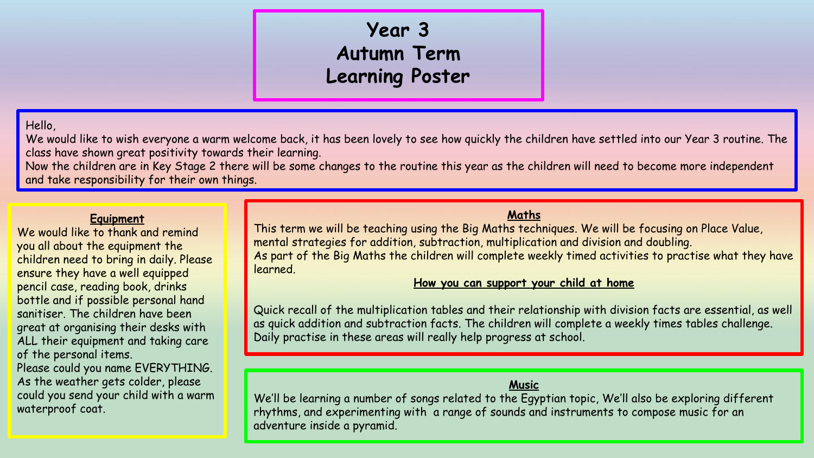# **Year 3 Autumn Term Learning Poster**

# Hello,

We would like to wish everyone a warm welcome back, it has been lovely to see how quickly the children have settled into our Year 3 routine. The class have shown great positivity towards their learning.

Now the children are in Key Stage 2 there will be some changes to the routine this year as the children will need to become more independent and take responsibility for their own things.

#### **Equipment**

We would like to thank and remind you all about the equipment the children need to bring in daily. Please ensure they have a well equipped pencil case, reading book, drinks bottle and if possible personal hand sanitiser. The children have been great at organising their desks with ALL their equipment and taking care of the personal items.

Please could you name EVERYTHING. As the weather gets colder, please could you send your child with a warm waterproof coat.

## **Maths**

This term we will be teaching using the Big Maths techniques. We will be focusing on Place Value, mental strategies for addition, subtraction, multiplication and division and doubling. As part of the Big Maths the children will complete weekly timed activities to practise what they have learned.

#### **How you can support your child at home**

Quick recall of the multiplication tables and their relationship with division facts are essential, as well as quick addition and subtraction facts. The children will complete a weekly times tables challenge. Daily practise in these areas will really help progress at school.

#### **Music**

We'll be learning a number of songs related to the Egyptian topic, We'll also be exploring different rhythms, and experimenting with a range of sounds and instruments to compose music for an adventure inside a pyramid.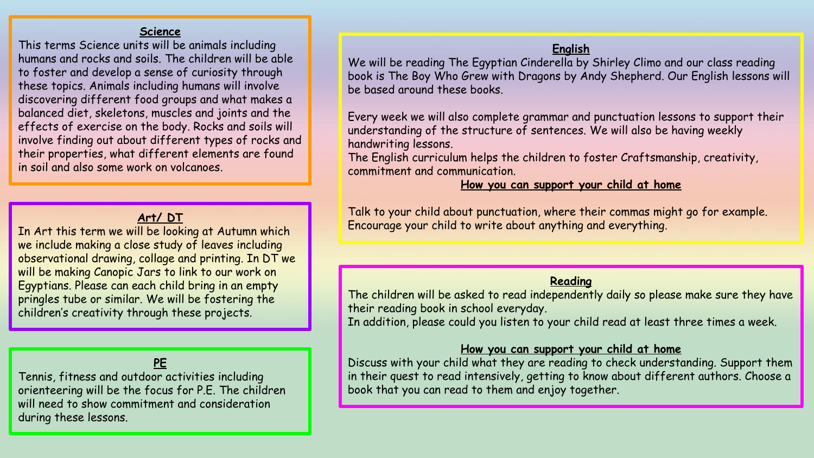#### **Science**

This terms Science units will be animals including humans and rocks and soils. The children will be able to foster and develop a sense of curiosity through these topics. Animals including humans will involve discovering different food groups and what makes a balanced diet, skeletons, muscles and joints and the effects of exercise on the body. Rocks and soils will involve finding out about different types of rocks and their properties, what different elements are found in soil and also some work on volcanoes.

# **Art/ DT**

In Art this term we will be looking at Autumn which we include making a close study of leaves including observational drawing, collage and printing. In DT we will be making Canopic Jars to link to our work on Egyptians. Please can each child bring in an empty pringles tube or similar. We will be fostering the children's creativity through these projects.

# **PE**

Tennis, fitness and outdoor activities including orienteering will be the focus for P.E. The children will need to show commitment and consideration during these lessons.

#### **English**

We will be reading The Egyptian Cinderella by Shirley Climo and our class reading book is The Boy Who Grew with Dragons by Andy Shepherd. Our English lessons will be based around these books.

Every week we will also complete grammar and punctuation lessons to support their understanding of the structure of sentences. We will also be having weekly handwriting lessons.

The English curriculum helps the children to foster Craftsmanship, creativity, commitment and communication.

### **How you can support your child at home**

Talk to your child about punctuation, where their commas might go for example. Encourage your child to write about anything and everything.

#### **Reading**

The children will be asked to read independently daily so please make sure they have their reading book in school everyday.

In addition, please could you listen to your child read at least three times a week.

#### **How you can support your child at home**

Discuss with your child what they are reading to check understanding. Support them in their quest to read intensively, getting to know about different authors. Choose a book that you can read to them and enjoy together.